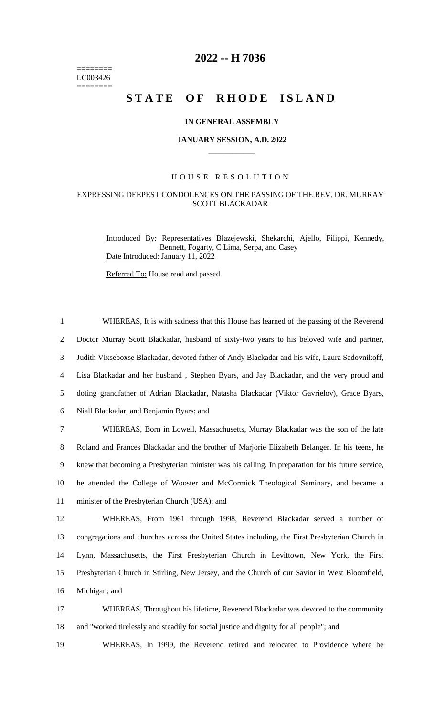======== LC003426 ========

# **2022 -- H 7036**

# STATE OF RHODE ISLAND

#### **IN GENERAL ASSEMBLY**

#### **JANUARY SESSION, A.D. 2022 \_\_\_\_\_\_\_\_\_\_\_\_**

### H O U S E R E S O L U T I O N

## EXPRESSING DEEPEST CONDOLENCES ON THE PASSING OF THE REV. DR. MURRAY SCOTT BLACKADAR

Introduced By: Representatives Blazejewski, Shekarchi, Ajello, Filippi, Kennedy, Bennett, Fogarty, C Lima, Serpa, and Casey Date Introduced: January 11, 2022

Referred To: House read and passed

 WHEREAS, It is with sadness that this House has learned of the passing of the Reverend Doctor Murray Scott Blackadar, husband of sixty-two years to his beloved wife and partner, Judith Vixseboxse Blackadar, devoted father of Andy Blackadar and his wife, Laura Sadovnikoff, Lisa Blackadar and her husband , Stephen Byars, and Jay Blackadar, and the very proud and doting grandfather of Adrian Blackadar, Natasha Blackadar (Viktor Gavrielov), Grace Byars, Niall Blackadar, and Benjamin Byars; and WHEREAS, Born in Lowell, Massachusetts, Murray Blackadar was the son of the late Roland and Frances Blackadar and the brother of Marjorie Elizabeth Belanger. In his teens, he knew that becoming a Presbyterian minister was his calling. In preparation for his future service, he attended the College of Wooster and McCormick Theological Seminary, and became a 11 minister of the Presbyterian Church (USA); and WHEREAS, From 1961 through 1998, Reverend Blackadar served a number of congregations and churches across the United States including, the First Presbyterian Church in Lynn, Massachusetts, the First Presbyterian Church in Levittown, New York, the First Presbyterian Church in Stirling, New Jersey, and the Church of our Savior in West Bloomfield, Michigan; and WHEREAS, Throughout his lifetime, Reverend Blackadar was devoted to the community

18 and "worked tirelessly and steadily for social justice and dignity for all people"; and

19 WHEREAS, In 1999, the Reverend retired and relocated to Providence where he